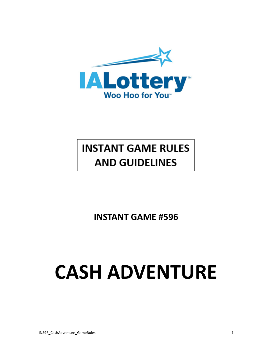

# **INSTANT GAME RULES AND GUIDELINES**

**INSTANT GAME #596**

# **CASH ADVENTURE**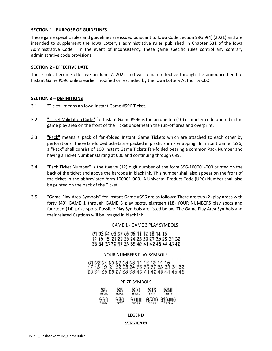#### **SECTION 1** - **PURPOSE OF GUIDELINES**

These game specific rules and guidelines are issued pursuant to Iowa Code Section 99G.9(4) (2021) and are intended to supplement the Iowa Lottery's administrative rules published in Chapter 531 of the Iowa Administrative Code. In the event of inconsistency, these game specific rules control any contrary administrative code provisions.

#### **SECTION 2** - **EFFECTIVE DATE**

These rules become effective on June 7, 2022 and will remain effective through the announced end of Instant Game #596 unless earlier modified or rescinded by the Iowa Lottery Authority CEO.

#### **SECTION 3** – **DEFINITIONS**

- 3.1 "Ticket" means an Iowa Instant Game #596 Ticket.
- 3.2 "Ticket Validation Code" for Instant Game #596 is the unique ten (10) character code printed in the game play area on the front of the Ticket underneath the rub-off area and overprint.
- 3.3 **"Pack"** means a pack of fan-folded Instant Game Tickets which are attached to each other by perforations. These fan-folded tickets are packed in plastic shrink wrapping. In Instant Game #596, a "Pack" shall consist of 100 Instant Game Tickets fan-folded bearing a common Pack Number and having a Ticket Number starting at 000 and continuing through 099.
- 3.4 **The Track Ticket Number**" is the twelve (12) digit number of the form 596-100001-000 printed on the back of the ticket and above the barcode in black ink. This number shall also appear on the front of the ticket in the abbreviated form 100001-000. A Universal Product Code (UPC) Number shall also be printed on the back of the Ticket.
- 3.5 "Same Play Area Symbols" for Instant Game #596 are as follows: There are two (2) play areas with forty (40) GAME 1 through GAME 3 play spots, eighteen (18) YOUR NUMBERS play spots and fourteen (14) prize spots. Possible Play Symbols are listed below. The Game Play Area Symbols and their related Captions will be imaged in black ink.

GAME 1 - GAME 3 PLAY SYMBOLS

01 02 04 06 07 08 09 11 12 13 14 16 17 18 19 21 22 23 24 25 26 27 28 29 31 32 33 34 35 36 37 38 39 40 41 42 43 44 45 46

#### YOUR NUMBERS PLAY SYMBOLS

01 02 04 06 07 08 09 11 12 13 14 16<br>17 18 19 21 22 23 24 25 26 27 28 29 31 32<br>33 34 35 36 37 38 39 40 41 42 43 44 45 46

#### PRIZE SYMBOLS

| \$3    | \$5          | \$10   | \$15          | \$20           |
|--------|--------------|--------|---------------|----------------|
| THRDOL | FIVDOL       | TENDOL | <b>FIFTN</b>  | THENTY         |
| \$30   | \$50         | \$100  | \$500         | \$30,000       |
| THIRTY | <b>FIFTY</b> | ONEHUN | <b>FIVHUN</b> | <b>THRYTHO</b> |

#### LEGEND

#### YOUR NUMBERS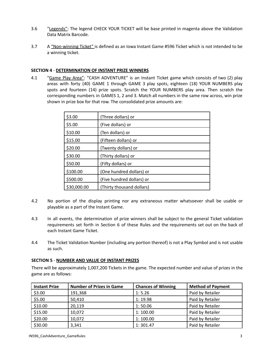- 3.6 "Legends": The legend CHECK YOUR TICKET will be base printed in magenta above the Validation Data Matrix Barcode.
- 3.7 A "Non-winning Ticket" is defined as an Iowa Instant Game #596 Ticket which is not intended to be a winning ticket.

# **SECTION 4** - **DETERMINATION OF INSTANT PRIZE WINNERS**

4.1 "Game Play Area": "CASH ADVENTURE" is an Instant Ticket game which consists of two (2) play areas with forty (40) GAME 1 through GAME 3 play spots, eighteen (18) YOUR NUMBERS play spots and fourteen (14) prize spots. Scratch the YOUR NUMBERS play area. Then scratch the corresponding numbers in GAMES 1, 2 and 3. Match all numbers in the same row across, win prize shown in prize box for that row. The consolidated prize amounts are:

| \$3.00      | (Three dollars) or        |
|-------------|---------------------------|
| \$5.00      | (Five dollars) or         |
| \$10.00     | (Ten dollars) or          |
| \$15.00     | (Fifteen dollars) or      |
| \$20.00     | (Twenty dollars) or       |
| \$30.00     | (Thirty dollars) or       |
| \$50.00     | (Fifty dollars) or        |
| \$100.00    | (One hundred dollars) or  |
| \$500.00    | (Five hundred dollars) or |
| \$30,000.00 | (Thirty thousand dollars) |

- 4.2 No portion of the display printing nor any extraneous matter whatsoever shall be usable or playable as a part of the Instant Game.
- 4.3 In all events, the determination of prize winners shall be subject to the general Ticket validation requirements set forth in Section 6 of these Rules and the requirements set out on the back of each Instant Game Ticket.
- 4.4 The Ticket Validation Number (including any portion thereof) is not a Play Symbol and is not usable as such.

# **SECTION 5** - **NUMBER AND VALUE OF INSTANT PRIZES**

There will be approximately 1,007,200 Tickets in the game. The expected number and value of prizes in the game are as follows:

| <b>Instant Prize</b> | <b>Number of Prizes in Game</b> | <b>Chances of Winning</b> | <b>Method of Payment</b> |
|----------------------|---------------------------------|---------------------------|--------------------------|
| \$3.00               | 191,368                         | 1:5.26                    | Paid by Retailer         |
| \$5.00               | 50,410                          | 1:19.98                   | Paid by Retailer         |
| \$10.00              | 20,119                          | 1:50.06                   | Paid by Retailer         |
| \$15.00              | 10,072                          | 1:100.00                  | Paid by Retailer         |
| \$20.00              | 10,072                          | 1:100.00                  | Paid by Retailer         |
| \$30.00              | 3,341                           | 1:301.47                  | Paid by Retailer         |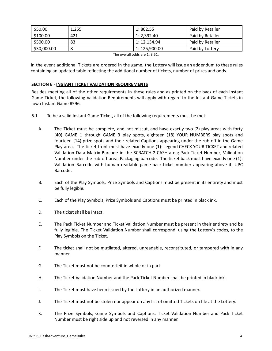| \$50.00     | 1.255 | 1:802.55      | Paid by Retailer |
|-------------|-------|---------------|------------------|
| \$100.00    | 421   | 1: 2.392.40   | Paid by Retailer |
| \$500.00    | 83    | 1: 12.134.94  | Paid by Retailer |
| \$30,000.00 |       | 1: 125.900.00 | Paid by Lottery  |

| The overall odds are 1: 3.51. |  |  |  |
|-------------------------------|--|--|--|
|-------------------------------|--|--|--|

In the event additional Tickets are ordered in the game, the Lottery will issue an addendum to these rules containing an updated table reflecting the additional number of tickets, number of prizes and odds.

### **SECTION 6** - **INSTANT TICKET VALIDATION REQUIREMENTS**

Besides meeting all of the other requirements in these rules and as printed on the back of each Instant Game Ticket, the following Validation Requirements will apply with regard to the Instant Game Tickets in Iowa Instant Game #596.

- 6.1 To be a valid Instant Game Ticket, all of the following requirements must be met:
	- A. The Ticket must be complete, and not miscut, and have exactly two (2) play areas with forty (40) GAME 1 through GAME 3 play spots, eighteen (18) YOUR NUMBERS play spots and fourteen (14) prize spots and their related Captions appearing under the rub-off in the Game Play area. The ticket front must have exactly one (1): Legend CHECK YOUR TICKET and related Validation Data Matrix Barcode in the SCRATCH 2 CASH area; Pack-Ticket Number; Validation Number under the rub-off area; Packaging barcode. The ticket back must have exactly one (1): Validation Barcode with human readable game-pack-ticket number appearing above it; UPC Barcode.
	- B. Each of the Play Symbols, Prize Symbols and Captions must be present in its entirety and must be fully legible.
	- C. Each of the Play Symbols, Prize Symbols and Captions must be printed in black ink.
	- D. The ticket shall be intact.
	- E. The Pack Ticket Number and Ticket Validation Number must be present in their entirety and be fully legible. The Ticket Validation Number shall correspond, using the Lottery's codes, to the Play Symbols on the Ticket.
	- F. The ticket shall not be mutilated, altered, unreadable, reconstituted, or tampered with in any manner.
	- G. The Ticket must not be counterfeit in whole or in part.
	- H. The Ticket Validation Number and the Pack Ticket Number shall be printed in black ink.
	- I. The Ticket must have been issued by the Lottery in an authorized manner.
	- J. The Ticket must not be stolen nor appear on any list of omitted Tickets on file at the Lottery.
	- K. The Prize Symbols, Game Symbols and Captions, Ticket Validation Number and Pack Ticket Number must be right side up and not reversed in any manner.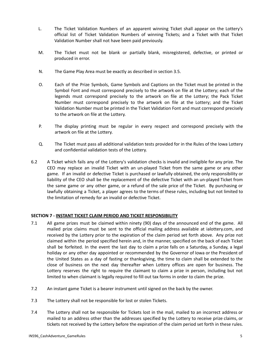- L. The Ticket Validation Numbers of an apparent winning Ticket shall appear on the Lottery's official list of Ticket Validation Numbers of winning Tickets; and a Ticket with that Ticket Validation Number shall not have been paid previously.
- M. The Ticket must not be blank or partially blank, misregistered, defective, or printed or produced in error.
- N. The Game Play Area must be exactly as described in section 3.5.
- O. Each of the Prize Symbols, Game Symbols and Captions on the Ticket must be printed in the Symbol Font and must correspond precisely to the artwork on file at the Lottery; each of the legends must correspond precisely to the artwork on file at the Lottery; the Pack Ticket Number must correspond precisely to the artwork on file at the Lottery; and the Ticket Validation Number must be printed in the Ticket Validation Font and must correspond precisely to the artwork on file at the Lottery.
- P. The display printing must be regular in every respect and correspond precisely with the artwork on file at the Lottery.
- Q. The Ticket must pass all additional validation tests provided for in the Rules of the Iowa Lottery and confidential validation tests of the Lottery.
- 6.2 A Ticket which fails any of the Lottery's validation checks is invalid and ineligible for any prize. The CEO may replace an invalid Ticket with an un-played Ticket from the same game or any other game. If an invalid or defective Ticket is purchased or lawfully obtained, the only responsibility or liability of the CEO shall be the replacement of the defective Ticket with an un-played Ticket from the same game or any other game, or a refund of the sale price of the Ticket. By purchasing or lawfully obtaining a Ticket, a player agrees to the terms of these rules, including but not limited to the limitation of remedy for an invalid or defective Ticket.

# **SECTION 7 - INSTANT TICKET CLAIM PERIOD AND TICKET RESPONSIBILITY**

- 7.1 All game prizes must be claimed within ninety (90) days of the announced end of the game. All mailed prize claims must be sent to the official mailing address available at ialottery.com, and received by the Lottery prior to the expiration of the claim period set forth above. Any prize not claimed within the period specified herein and, in the manner, specified on the back of each Ticket shall be forfeited. In the event the last day to claim a prize falls on a Saturday, a Sunday, a legal holiday or any other day appointed or recommended by the Governor of Iowa or the President of the United States as a day of fasting or thanksgiving, the time to claim shall be extended to the close of business on the next day thereafter when Lottery offices are open for business. The Lottery reserves the right to require the claimant to claim a prize in person, including but not limited to when claimant is legally required to fill out tax forms in order to claim the prize.
- 7.2 An instant game Ticket is a bearer instrument until signed on the back by the owner.
- 7.3 The Lottery shall not be responsible for lost or stolen Tickets.
- 7.4 The Lottery shall not be responsible for Tickets lost in the mail, mailed to an incorrect address or mailed to an address other than the addresses specified by the Lottery to receive prize claims, or tickets not received by the Lottery before the expiration of the claim period set forth in these rules.